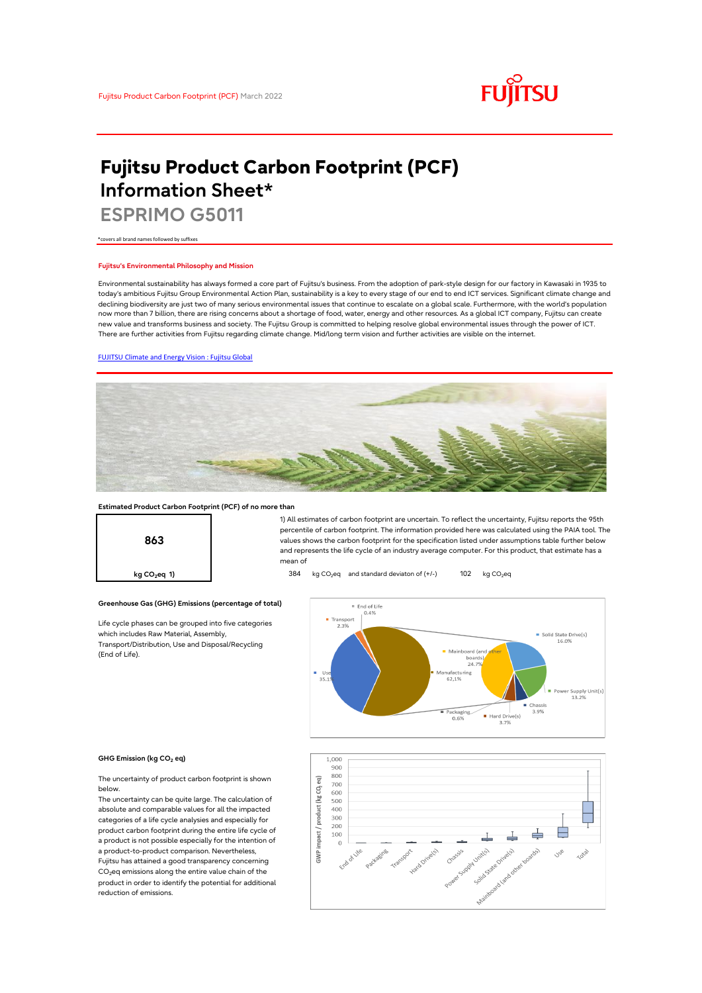

# **Fujitsu Product Carbon Footprint (PCF) Information Sheet\***

**ESPRIMO G5011**

\*covers all brand names followed by suffixes

### **Fujitsu's Environmental Philosophy and Mission**

Environmental sustainability has always formed a core part of Fujitsu's business. From the adoption of park-style design for our factory in Kawasaki in 1935 to today's ambitious Fujitsu Group Environmental Action Plan, sustainability is a key to every stage of our end to end ICT services. Significant climate change and declining biodiversity are just two of many serious environmental issues that continue to escalate on a global scale. Furthermore, with the world's population now more than 7 billion, there are rising concerns about a shortage of food, water, energy and other resources. As a global ICT company, Fujitsu can create new value and transforms business and society. The Fujitsu Group is committed to helping resolve global environmental issues through the power of ICT. There are further activities from Fujitsu regarding climate change. Mid/long term vision and further activities are visible on the internet.

#### [FUJITSU Climate and Energy Vision : Fujitsu Global](https://www.fujitsu.com/global/about/environment/climate-energy-vision/)



#### **Estimated Product Carbon Footprint (PCF) of no more than**



1) All estimates of carbon footprint are uncertain. To reflect the uncertainty, Fujitsu reports the 95th percentile of carbon footprint. The information provided here was calculated using the PAIA tool. The values shows the carbon footprint for the specification listed under assumptions table further below and represents the life cycle of an industry average computer. For this product, that estimate has a mean of

**kg CO<sub>2</sub>eq 1) a** 384 kg CO<sub>2</sub>eq and standard deviaton of (+/-) 102 kg CO<sub>2</sub>eq



#### **GHG Emission (kg CO2 eq)**

(End of Life).

The uncertainty of product carbon footprint is shown below.

Life cycle phases can be grouped into five categories

**Greenhouse Gas (GHG) Emissions (percentage of total)**

which includes Raw Material, Assembly, Transport/Distribution, Use and Disposal/Recycling

The uncertainty can be quite large. The calculation of absolute and comparable values for all the impacted categories of a life cycle analysies and especially for product carbon footprint during the entire life cycle of a product is not possible especially for the intention of a product-to-product comparison. Nevertheless, Fujitsu has attained a good transparency concerning CO<sub>2</sub>eq emissions along the entire value chain of the product in order to identify the potential for additional reduction of emissions.